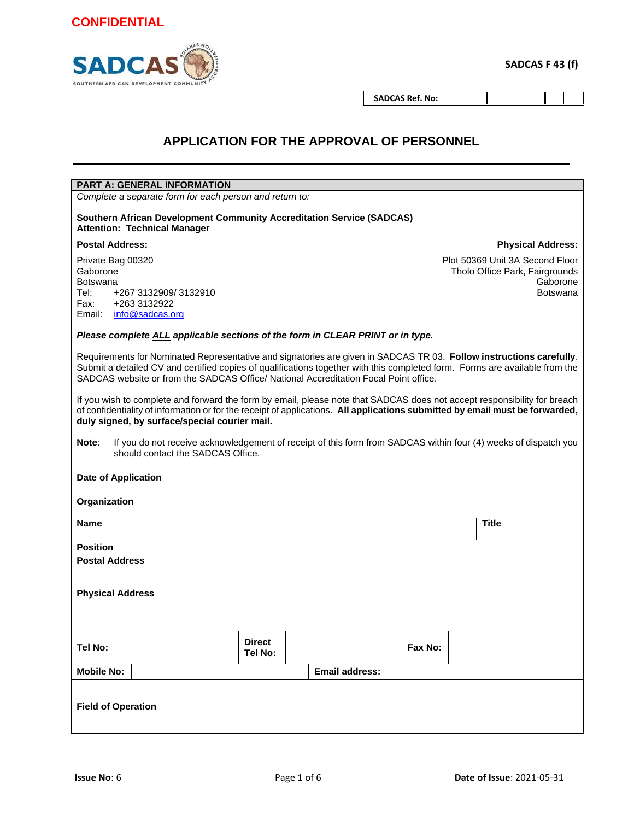



**SADCAS F 43 (f)**

**SADCAS Ref. No:**

# **APPLICATION FOR THE APPROVAL OF PERSONNEL**

| <b>PART A: GENERAL INFORMATION</b>                                                                                                                                                                                                                                                                                                                                                                                                                                     |                          |                                                                                                                              |       |  |  |  |  |
|------------------------------------------------------------------------------------------------------------------------------------------------------------------------------------------------------------------------------------------------------------------------------------------------------------------------------------------------------------------------------------------------------------------------------------------------------------------------|--------------------------|------------------------------------------------------------------------------------------------------------------------------|-------|--|--|--|--|
| Complete a separate form for each person and return to:                                                                                                                                                                                                                                                                                                                                                                                                                |                          |                                                                                                                              |       |  |  |  |  |
| Southern African Development Community Accreditation Service (SADCAS)<br><b>Attention: Technical Manager</b>                                                                                                                                                                                                                                                                                                                                                           |                          |                                                                                                                              |       |  |  |  |  |
| <b>Postal Address:</b><br><b>Physical Address:</b>                                                                                                                                                                                                                                                                                                                                                                                                                     |                          |                                                                                                                              |       |  |  |  |  |
| Private Bag 00320<br>Gaborone<br><b>Botswana</b><br>Tel:<br>+267 3132909/ 3132910<br>+263 3132922<br>Fax:<br>Email:<br>info@sadcas.org                                                                                                                                                                                                                                                                                                                                 |                          | Plot 50369 Unit 3A Second Floor<br>Tholo Office Park, Fairgrounds<br>Gaborone<br><b>Botswana</b>                             |       |  |  |  |  |
|                                                                                                                                                                                                                                                                                                                                                                                                                                                                        |                          | Please complete ALL applicable sections of the form in CLEAR PRINT or in type.                                               |       |  |  |  |  |
| Requirements for Nominated Representative and signatories are given in SADCAS TR 03. Follow instructions carefully.<br>Submit a detailed CV and certified copies of qualifications together with this completed form. Forms are available from the<br>SADCAS website or from the SADCAS Office/ National Accreditation Focal Point office.<br>If you wish to complete and forward the form by email, please note that SADCAS does not accept responsibility for breach |                          |                                                                                                                              |       |  |  |  |  |
| duly signed, by surface/special courier mail.                                                                                                                                                                                                                                                                                                                                                                                                                          |                          | of confidentiality of information or for the receipt of applications. All applications submitted by email must be forwarded, |       |  |  |  |  |
| Note:<br>If you do not receive acknowledgement of receipt of this form from SADCAS within four (4) weeks of dispatch you<br>should contact the SADCAS Office.                                                                                                                                                                                                                                                                                                          |                          |                                                                                                                              |       |  |  |  |  |
| <b>Date of Application</b>                                                                                                                                                                                                                                                                                                                                                                                                                                             |                          |                                                                                                                              |       |  |  |  |  |
| Organization                                                                                                                                                                                                                                                                                                                                                                                                                                                           |                          |                                                                                                                              |       |  |  |  |  |
| Name                                                                                                                                                                                                                                                                                                                                                                                                                                                                   |                          |                                                                                                                              | Title |  |  |  |  |
| <b>Position</b>                                                                                                                                                                                                                                                                                                                                                                                                                                                        |                          |                                                                                                                              |       |  |  |  |  |
| <b>Postal Address</b>                                                                                                                                                                                                                                                                                                                                                                                                                                                  |                          |                                                                                                                              |       |  |  |  |  |
| <b>Physical Address</b>                                                                                                                                                                                                                                                                                                                                                                                                                                                |                          |                                                                                                                              |       |  |  |  |  |
| Tel No:                                                                                                                                                                                                                                                                                                                                                                                                                                                                | <b>Direct</b><br>Tel No: | Fax No:                                                                                                                      |       |  |  |  |  |
| <b>Mobile No:</b>                                                                                                                                                                                                                                                                                                                                                                                                                                                      |                          | <b>Email address:</b>                                                                                                        |       |  |  |  |  |
| <b>Field of Operation</b>                                                                                                                                                                                                                                                                                                                                                                                                                                              |                          |                                                                                                                              |       |  |  |  |  |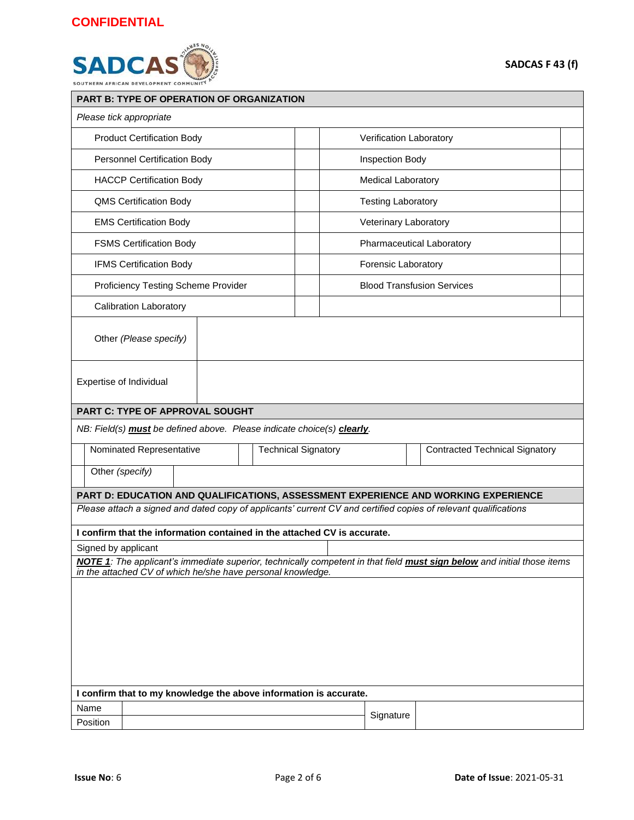

| PART B: TYPE OF OPERATION OF ORGANIZATION                                                                               |                                     |  |  |                                                                          |  |                            |                                   |                                       |  |  |
|-------------------------------------------------------------------------------------------------------------------------|-------------------------------------|--|--|--------------------------------------------------------------------------|--|----------------------------|-----------------------------------|---------------------------------------|--|--|
| Please tick appropriate                                                                                                 |                                     |  |  |                                                                          |  |                            |                                   |                                       |  |  |
| <b>Product Certification Body</b>                                                                                       |                                     |  |  | Verification Laboratory                                                  |  |                            |                                   |                                       |  |  |
|                                                                                                                         | Personnel Certification Body        |  |  |                                                                          |  | Inspection Body            |                                   |                                       |  |  |
|                                                                                                                         | <b>HACCP Certification Body</b>     |  |  |                                                                          |  |                            | <b>Medical Laboratory</b>         |                                       |  |  |
|                                                                                                                         | <b>QMS Certification Body</b>       |  |  |                                                                          |  | <b>Testing Laboratory</b>  |                                   |                                       |  |  |
|                                                                                                                         | <b>EMS Certification Body</b>       |  |  |                                                                          |  | Veterinary Laboratory      |                                   |                                       |  |  |
|                                                                                                                         | <b>FSMS Certification Body</b>      |  |  |                                                                          |  | Pharmaceutical Laboratory  |                                   |                                       |  |  |
|                                                                                                                         | <b>IFMS Certification Body</b>      |  |  |                                                                          |  | <b>Forensic Laboratory</b> |                                   |                                       |  |  |
|                                                                                                                         | Proficiency Testing Scheme Provider |  |  |                                                                          |  |                            | <b>Blood Transfusion Services</b> |                                       |  |  |
|                                                                                                                         | <b>Calibration Laboratory</b>       |  |  |                                                                          |  |                            |                                   |                                       |  |  |
|                                                                                                                         | Other (Please specify)              |  |  |                                                                          |  |                            |                                   |                                       |  |  |
| Expertise of Individual                                                                                                 |                                     |  |  |                                                                          |  |                            |                                   |                                       |  |  |
| PART C: TYPE OF APPROVAL SOUGHT                                                                                         |                                     |  |  |                                                                          |  |                            |                                   |                                       |  |  |
|                                                                                                                         |                                     |  |  | NB: Field(s) must be defined above. Please indicate choice(s) clearly.   |  |                            |                                   |                                       |  |  |
| Nominated Representative<br><b>Technical Signatory</b>                                                                  |                                     |  |  |                                                                          |  |                            |                                   | <b>Contracted Technical Signatory</b> |  |  |
| Other (specify)                                                                                                         |                                     |  |  |                                                                          |  |                            |                                   |                                       |  |  |
| PART D: EDUCATION AND QUALIFICATIONS, ASSESSMENT EXPERIENCE AND WORKING EXPERIENCE                                      |                                     |  |  |                                                                          |  |                            |                                   |                                       |  |  |
| Please attach a signed and dated copy of applicants' current CV and certified copies of relevant qualifications         |                                     |  |  |                                                                          |  |                            |                                   |                                       |  |  |
|                                                                                                                         |                                     |  |  | I confirm that the information contained in the attached CV is accurate. |  |                            |                                   |                                       |  |  |
| Signed by applicant                                                                                                     |                                     |  |  |                                                                          |  |                            |                                   |                                       |  |  |
| NOTE 1: The applicant's immediate superior, technically competent in that field must sign below and initial those items |                                     |  |  |                                                                          |  |                            |                                   |                                       |  |  |
| in the attached CV of which he/she have personal knowledge.                                                             |                                     |  |  |                                                                          |  |                            |                                   |                                       |  |  |
|                                                                                                                         |                                     |  |  |                                                                          |  |                            |                                   |                                       |  |  |
|                                                                                                                         |                                     |  |  |                                                                          |  |                            |                                   |                                       |  |  |
|                                                                                                                         |                                     |  |  |                                                                          |  |                            |                                   |                                       |  |  |
|                                                                                                                         |                                     |  |  |                                                                          |  |                            |                                   |                                       |  |  |
|                                                                                                                         |                                     |  |  |                                                                          |  |                            |                                   |                                       |  |  |
|                                                                                                                         |                                     |  |  |                                                                          |  |                            |                                   |                                       |  |  |
| I confirm that to my knowledge the above information is accurate.                                                       |                                     |  |  |                                                                          |  |                            |                                   |                                       |  |  |
| Name                                                                                                                    |                                     |  |  |                                                                          |  |                            | Signature                         |                                       |  |  |
| Position                                                                                                                |                                     |  |  |                                                                          |  |                            |                                   |                                       |  |  |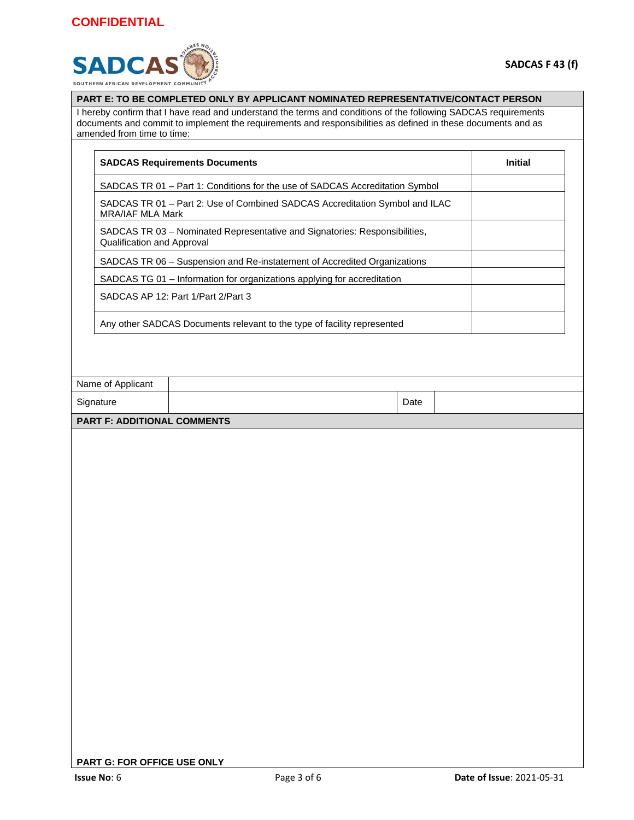

| SOUTHERN AFRICAN DEVELOPMENT COMMUNITY                                                                                                                                                              |                                                                              |                |  |  |
|-----------------------------------------------------------------------------------------------------------------------------------------------------------------------------------------------------|------------------------------------------------------------------------------|----------------|--|--|
| PART E: TO BE COMPLETED ONLY BY APPLICANT NOMINATED REPRESENTATIVE/CONTACT PERSON<br>I hereby confirm that I have read and understand the terms and conditions of the following SADCAS requirements |                                                                              |                |  |  |
| documents and commit to implement the requirements and responsibilities as defined in these documents and as<br>amended from time to time:                                                          |                                                                              |                |  |  |
|                                                                                                                                                                                                     |                                                                              |                |  |  |
| <b>SADCAS Requirements Documents</b>                                                                                                                                                                |                                                                              | <b>Initial</b> |  |  |
|                                                                                                                                                                                                     | SADCAS TR 01 - Part 1: Conditions for the use of SADCAS Accreditation Symbol |                |  |  |
| <b>MRA/IAF MLA Mark</b>                                                                                                                                                                             | SADCAS TR 01 - Part 2: Use of Combined SADCAS Accreditation Symbol and ILAC  |                |  |  |
| Qualification and Approval                                                                                                                                                                          | SADCAS TR 03 - Nominated Representative and Signatories: Responsibilities,   |                |  |  |
|                                                                                                                                                                                                     | SADCAS TR 06 - Suspension and Re-instatement of Accredited Organizations     |                |  |  |
|                                                                                                                                                                                                     | SADCAS TG 01 - Information for organizations applying for accreditation      |                |  |  |
|                                                                                                                                                                                                     | SADCAS AP 12: Part 1/Part 2/Part 3                                           |                |  |  |
|                                                                                                                                                                                                     | Any other SADCAS Documents relevant to the type of facility represented      |                |  |  |
|                                                                                                                                                                                                     |                                                                              |                |  |  |
|                                                                                                                                                                                                     |                                                                              |                |  |  |
| Name of Applicant                                                                                                                                                                                   |                                                                              |                |  |  |
| Signature                                                                                                                                                                                           |                                                                              | Date           |  |  |
| <b>PART F: ADDITIONAL COMMENTS</b>                                                                                                                                                                  |                                                                              |                |  |  |
|                                                                                                                                                                                                     |                                                                              |                |  |  |
|                                                                                                                                                                                                     |                                                                              |                |  |  |
|                                                                                                                                                                                                     |                                                                              |                |  |  |
|                                                                                                                                                                                                     |                                                                              |                |  |  |
|                                                                                                                                                                                                     |                                                                              |                |  |  |
|                                                                                                                                                                                                     |                                                                              |                |  |  |
|                                                                                                                                                                                                     |                                                                              |                |  |  |
|                                                                                                                                                                                                     |                                                                              |                |  |  |
|                                                                                                                                                                                                     |                                                                              |                |  |  |
|                                                                                                                                                                                                     |                                                                              |                |  |  |
|                                                                                                                                                                                                     |                                                                              |                |  |  |
|                                                                                                                                                                                                     |                                                                              |                |  |  |
|                                                                                                                                                                                                     |                                                                              |                |  |  |
|                                                                                                                                                                                                     |                                                                              |                |  |  |
|                                                                                                                                                                                                     |                                                                              |                |  |  |
|                                                                                                                                                                                                     |                                                                              |                |  |  |
|                                                                                                                                                                                                     |                                                                              |                |  |  |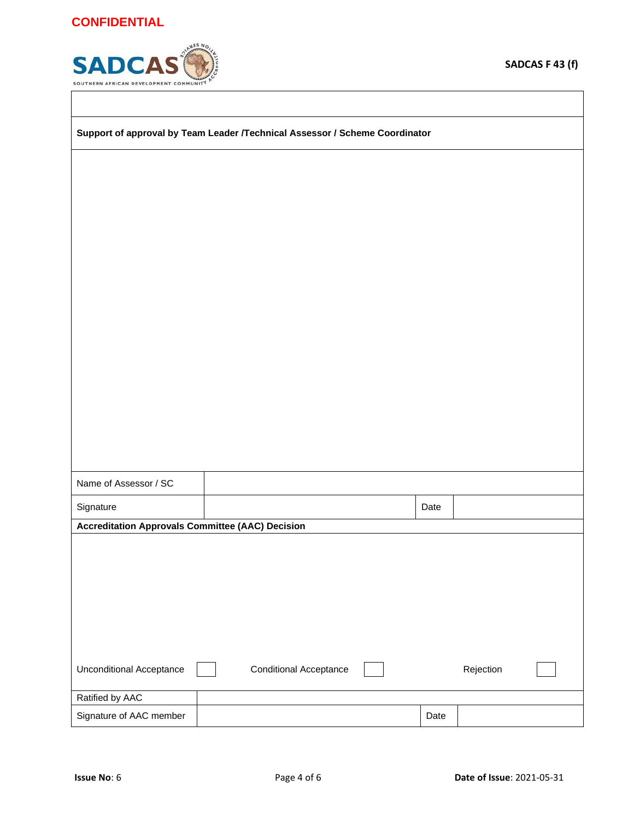

| Support of approval by Team Leader /Technical Assessor / Scheme Coordinator |                               |  |      |           |  |
|-----------------------------------------------------------------------------|-------------------------------|--|------|-----------|--|
|                                                                             |                               |  |      |           |  |
|                                                                             |                               |  |      |           |  |
|                                                                             |                               |  |      |           |  |
|                                                                             |                               |  |      |           |  |
|                                                                             |                               |  |      |           |  |
|                                                                             |                               |  |      |           |  |
|                                                                             |                               |  |      |           |  |
|                                                                             |                               |  |      |           |  |
|                                                                             |                               |  |      |           |  |
|                                                                             |                               |  |      |           |  |
|                                                                             |                               |  |      |           |  |
|                                                                             |                               |  |      |           |  |
|                                                                             |                               |  |      |           |  |
|                                                                             |                               |  |      |           |  |
|                                                                             |                               |  |      |           |  |
| Name of Assessor / SC                                                       |                               |  |      |           |  |
| Signature                                                                   |                               |  | Date |           |  |
| <b>Accreditation Approvals Committee (AAC) Decision</b>                     |                               |  |      |           |  |
|                                                                             |                               |  |      |           |  |
|                                                                             |                               |  |      |           |  |
|                                                                             |                               |  |      |           |  |
|                                                                             |                               |  |      |           |  |
|                                                                             |                               |  |      |           |  |
|                                                                             |                               |  |      |           |  |
| <b>Unconditional Acceptance</b>                                             | <b>Conditional Acceptance</b> |  |      | Rejection |  |
| Ratified by AAC                                                             |                               |  |      |           |  |
| Signature of AAC member                                                     |                               |  | Date |           |  |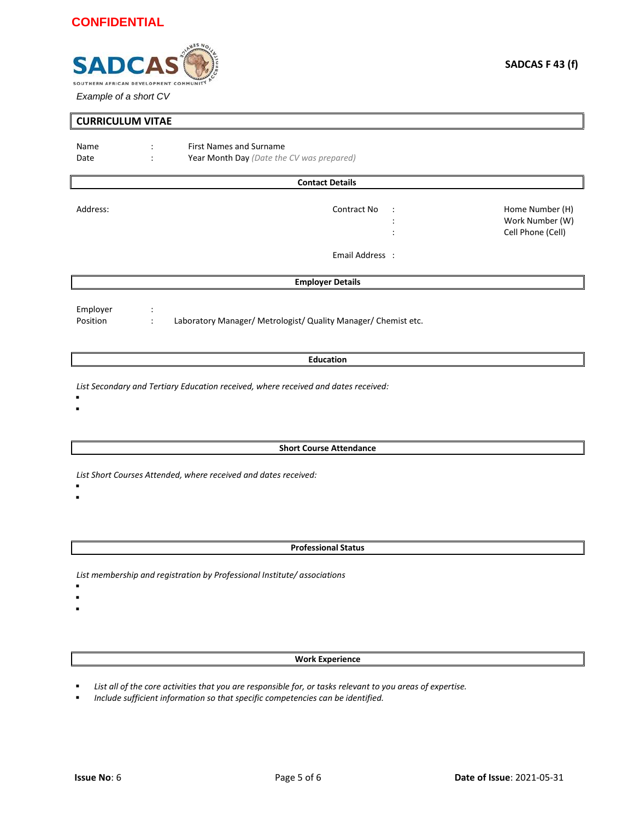

| <b>CURRICULUM VITAE</b> |                                        |                                                                             |                                                         |
|-------------------------|----------------------------------------|-----------------------------------------------------------------------------|---------------------------------------------------------|
| Name<br>Date            | $\ddot{\phantom{a}}$<br>$\ddot{\cdot}$ | <b>First Names and Surname</b><br>Year Month Day (Date the CV was prepared) |                                                         |
|                         |                                        | <b>Contact Details</b>                                                      |                                                         |
| Address:                |                                        | Contract No<br>$\ddot{\phantom{a}}$                                         | Home Number (H)<br>Work Number (W)<br>Cell Phone (Cell) |
|                         |                                        | Email Address:                                                              |                                                         |
|                         |                                        | <b>Employer Details</b>                                                     |                                                         |
| Employer<br>Position    | $\ddot{\cdot}$<br>$\ddot{\cdot}$       | Laboratory Manager/ Metrologist/ Quality Manager/ Chemist etc.              |                                                         |
|                         |                                        | <b>Education</b>                                                            |                                                         |

*List Secondary and Tertiary Education received, where received and dates received:*

▪

▪

#### **Short Course Attendance**

*List Short Courses Attended, where received and dates received:*

▪ ▪

### **Professional Status**

*List membership and registration by Professional Institute/ associations*

- ▪
- ▪
- ▪

#### **Work Experience**

- List all of the core activities that you are responsible for, or tasks relevant to you areas of expertise.
- *Include sufficient information so that specific competencies can be identified.*